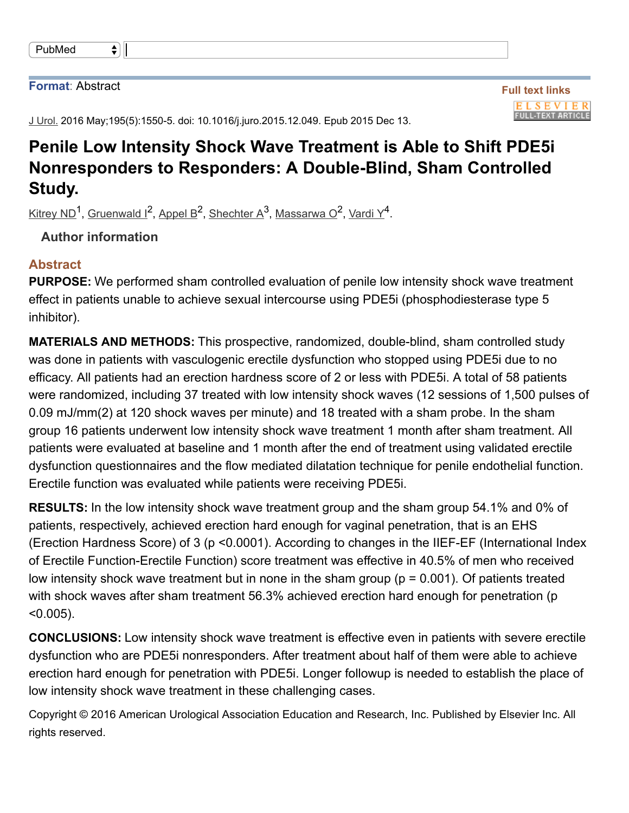| PubMed |  |  |
|--------|--|--|
|--------|--|--|

#### **Format**: Abstract

J Urol. 2016 May; 195(5): 1550-5. doi: 10.1016/j.juro. 2015. 12.049. Epub 2015 Dec 13.

# **Penile Low Intensity Shock Wave Treatment is Able to Shift PDE5i Nonresponders to Responders: A Double-Blind, Sham Controlled Study.**

Kitrey ND<sup>1</sup>, Gruenwald I<sup>2</sup>, Appel B<sup>2</sup>, Shechter A<sup>3</sup>, Massarwa O<sup>2</sup>, Vardi Y<sup>4</sup>.

**Author information**

### **Abstract**

**PURPOSE:** We performed sham controlled evaluation of penile low intensity shock wave treatment effect in patients unable to achieve sexual intercourse using PDE5i (phosphodiesterase type 5 inhibitor).

**MATERIALS AND METHODS:** This prospective, randomized, double-blind, sham controlled study was done in patients with vasculogenic erectile dysfunction who stopped using PDE5i due to no efficacy. All patients had an erection hardness score of 2 or less with PDE5i. A total of 58 patients were randomized, including 37 treated with low intensity shock waves (12 sessions of 1,500 pulses of 0.09 mJ/mm(2) at 120 shock waves per minute) and 18 treated with a sham probe. In the sham group 16 patients underwent low intensity shock wave treatment 1 month after sham treatment. All patients were evaluated at baseline and 1 month after the end of treatment using validated erectile dysfunction questionnaires and the flow mediated dilatation technique for penile endothelial function. Erectile function was evaluated while patients were receiving PDE5i.

**RESULTS:** In the low intensity shock wave treatment group and the sham group 54.1% and 0% of patients, respectively, achieved erection hard enough for vaginal penetration, that is an EHS (Erection Hardness Score) of 3 (p < 0.0001). According to changes in the IIEF-EF (International Index of Erectile Function-Erectile Function) score treatment was effective in 40.5% of men who received low intensity shock wave treatment but in none in the sham group ( $p = 0.001$ ). Of patients treated with shock waves after sham treatment 56.3% achieved erection hard enough for penetration (p  $< 0.005$ ).

**CONCLUSIONS:** Low intensity shock wave treatment is effective even in patients with severe erectile dysfunction who are PDE5i nonresponders. After treatment about half of them were able to achieve erection hard enough for penetration with PDE5i. Longer followup is needed to establish the place of low intensity shock wave treatment in these challenging cases.

Copyright © 2016 American Urological Association Education and Research, Inc. Published by Elsevier Inc. All rights reserved.